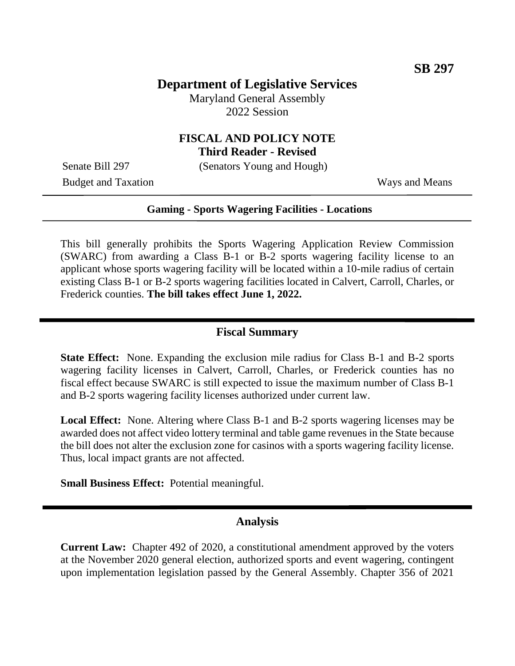## **Department of Legislative Services**

Maryland General Assembly 2022 Session

# **FISCAL AND POLICY NOTE**

**Third Reader - Revised**

Senate Bill 297 (Senators Young and Hough)

Budget and Taxation Ways and Means

#### **Gaming - Sports Wagering Facilities - Locations**

This bill generally prohibits the Sports Wagering Application Review Commission (SWARC) from awarding a Class B-1 or B-2 sports wagering facility license to an applicant whose sports wagering facility will be located within a 10-mile radius of certain existing Class B-1 or B-2 sports wagering facilities located in Calvert, Carroll, Charles, or Frederick counties. **The bill takes effect June 1, 2022.**

#### **Fiscal Summary**

**State Effect:** None. Expanding the exclusion mile radius for Class B-1 and B-2 sports wagering facility licenses in Calvert, Carroll, Charles, or Frederick counties has no fiscal effect because SWARC is still expected to issue the maximum number of Class B-1 and B-2 sports wagering facility licenses authorized under current law.

**Local Effect:** None. Altering where Class B-1 and B-2 sports wagering licenses may be awarded does not affect video lottery terminal and table game revenues in the State because the bill does not alter the exclusion zone for casinos with a sports wagering facility license. Thus, local impact grants are not affected.

**Small Business Effect:** Potential meaningful.

### **Analysis**

**Current Law:** Chapter 492 of 2020, a constitutional amendment approved by the voters at the November 2020 general election, authorized sports and event wagering, contingent upon implementation legislation passed by the General Assembly. Chapter 356 of 2021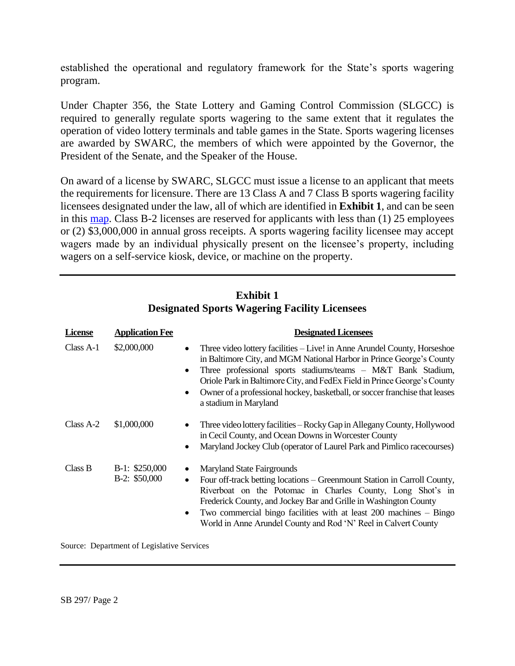established the operational and regulatory framework for the State's sports wagering program.

Under Chapter 356, the State Lottery and Gaming Control Commission (SLGCC) is required to generally regulate sports wagering to the same extent that it regulates the operation of video lottery terminals and table games in the State. Sports wagering licenses are awarded by SWARC, the members of which were appointed by the Governor, the President of the Senate, and the Speaker of the House.

On award of a license by SWARC, SLGCC must issue a license to an applicant that meets the requirements for licensure. There are 13 Class A and 7 Class B sports wagering facility licensees designated under the law, all of which are identified in **Exhibit 1**, and can be seen in this [map.](https://arcg.is/10rz5a0) Class B-2 licenses are reserved for applicants with less than (1) 25 employees or (2) \$3,000,000 in annual gross receipts. A sports wagering facility licensee may accept wagers made by an individual physically present on the licensee's property, including wagers on a self-service kiosk, device, or machine on the property.

| <b>License</b> | <b>Application Fee</b>           | <b>Designated Licensees</b>                                                                                                                                                                                                                                                                                                                                                                                                                 |
|----------------|----------------------------------|---------------------------------------------------------------------------------------------------------------------------------------------------------------------------------------------------------------------------------------------------------------------------------------------------------------------------------------------------------------------------------------------------------------------------------------------|
| $Class A-1$    | \$2,000,000                      | Three video lottery facilities – Live! in Anne Arundel County, Horseshoe<br>$\bullet$<br>in Baltimore City, and MGM National Harbor in Prince George's County<br>Three professional sports stadiums/teams - M&T Bank Stadium,<br>$\bullet$<br>Oriole Park in Baltimore City, and FedEx Field in Prince George's County<br>Owner of a professional hockey, basketball, or soccer franchise that leases<br>$\bullet$<br>a stadium in Maryland |
| Class A-2      | \$1,000,000                      | Three video lottery facilities – Rocky Gap in Allegany County, Hollywood<br>٠<br>in Cecil County, and Ocean Downs in Worcester County<br>Maryland Jockey Club (operator of Laurel Park and Pimlico racecourses)<br>٠                                                                                                                                                                                                                        |
| Class B        | $B-1: $250,000$<br>B-2: \$50,000 | <b>Maryland State Fairgrounds</b><br>$\bullet$<br>Four off-track betting locations – Greenmount Station in Carroll County,<br>$\bullet$<br>Riverboat on the Potomac in Charles County, Long Shot's in<br>Frederick County, and Jockey Bar and Grille in Washington County<br>Two commercial bingo facilities with at least $200$ machines $-$ Bingo<br>$\bullet$<br>World in Anne Arundel County and Rod 'N' Reel in Calvert County         |

#### **Exhibit 1 Designated Sports Wagering Facility Licensees**

Source: Department of Legislative Services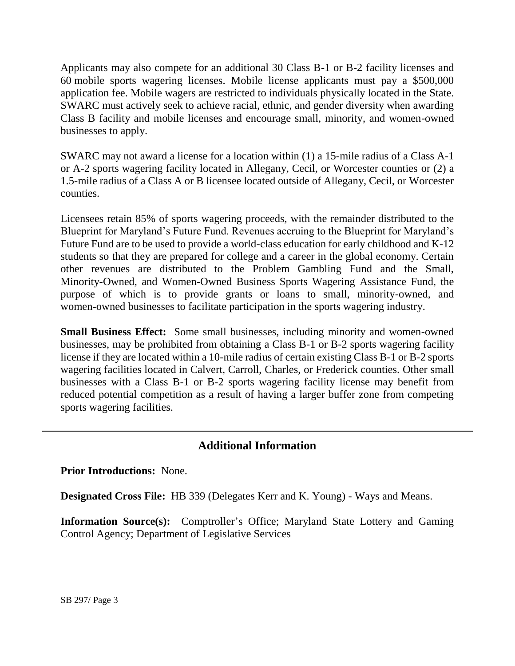Applicants may also compete for an additional 30 Class B-1 or B-2 facility licenses and 60 mobile sports wagering licenses. Mobile license applicants must pay a \$500,000 application fee. Mobile wagers are restricted to individuals physically located in the State. SWARC must actively seek to achieve racial, ethnic, and gender diversity when awarding Class B facility and mobile licenses and encourage small, minority, and women-owned businesses to apply.

SWARC may not award a license for a location within (1) a 15-mile radius of a Class A-1 or A-2 sports wagering facility located in Allegany, Cecil, or Worcester counties or (2) a 1.5-mile radius of a Class A or B licensee located outside of Allegany, Cecil, or Worcester counties.

Licensees retain 85% of sports wagering proceeds, with the remainder distributed to the Blueprint for Maryland's Future Fund. Revenues accruing to the Blueprint for Maryland's Future Fund are to be used to provide a world-class education for early childhood and K-12 students so that they are prepared for college and a career in the global economy. Certain other revenues are distributed to the Problem Gambling Fund and the Small, Minority-Owned, and Women-Owned Business Sports Wagering Assistance Fund, the purpose of which is to provide grants or loans to small, minority-owned, and women-owned businesses to facilitate participation in the sports wagering industry.

**Small Business Effect:** Some small businesses, including minority and women-owned businesses, may be prohibited from obtaining a Class B-1 or B-2 sports wagering facility license if they are located within a 10-mile radius of certain existing Class B-1 or B-2 sports wagering facilities located in Calvert, Carroll, Charles, or Frederick counties. Other small businesses with a Class B-1 or B-2 sports wagering facility license may benefit from reduced potential competition as a result of having a larger buffer zone from competing sports wagering facilities.

## **Additional Information**

**Prior Introductions:** None.

**Designated Cross File:** HB 339 (Delegates Kerr and K. Young) - Ways and Means.

**Information Source(s):** Comptroller's Office; Maryland State Lottery and Gaming Control Agency; Department of Legislative Services